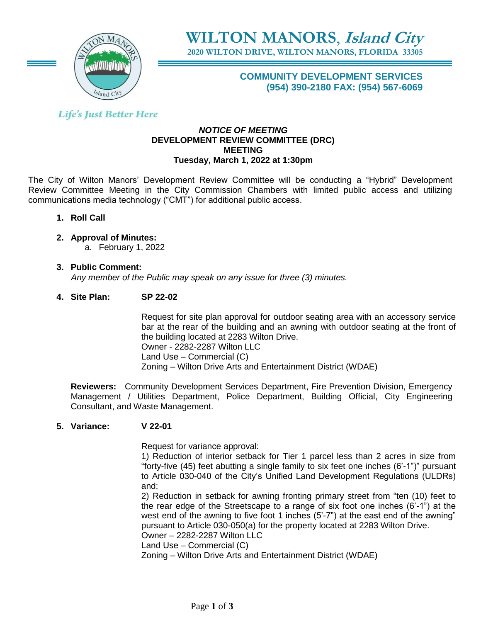

**WILTON MANORS**, **Island City**

**2020 WILTON DRIVE, WILTON MANORS, FLORIDA 33305**

**COMMUNITY DEVELOPMENT SERVICES (954) 390-2180 FAX: (954) 567-6069**

# **Life's Just Better Here**

#### *NOTICE OF MEETING* **DEVELOPMENT REVIEW COMMITTEE (DRC) MEETING Tuesday, March 1, 2022 at 1:30pm**

The City of Wilton Manors' Development Review Committee will be conducting a "Hybrid" Development Review Committee Meeting in the City Commission Chambers with limited public access and utilizing communications media technology ("CMT") for additional public access.

- **1. Roll Call**
- **2. Approval of Minutes:**  a. February 1, 2022
- **3. Public Comment:**   *Any member of the Public may speak on any issue for three (3) minutes.*

## **4. Site Plan: SP 22-02**

Request for site plan approval for outdoor seating area with an accessory service bar at the rear of the building and an awning with outdoor seating at the front of the building located at 2283 Wilton Drive. Owner - 2282-2287 Wilton LLC Land Use – Commercial (C) Zoning – Wilton Drive Arts and Entertainment District (WDAE)

**Reviewers:** Community Development Services Department, Fire Prevention Division, Emergency Management / Utilities Department, Police Department, Building Official, City Engineering Consultant, and Waste Management.

## **5. Variance: V 22-01**

Request for variance approval:

1) Reduction of interior setback for Tier 1 parcel less than 2 acres in size from "forty-five (45) feet abutting a single family to six feet one inches (6'-1")" pursuant to Article 030-040 of the City's Unified Land Development Regulations (ULDRs) and;

2) Reduction in setback for awning fronting primary street from "ten (10) feet to the rear edge of the Streetscape to a range of six foot one inches (6'-1") at the west end of the awning to five foot 1 inches (5'-7") at the east end of the awning" pursuant to Article 030-050(a) for the property located at 2283 Wilton Drive. Owner – 2282-2287 Wilton LLC

Land Use – Commercial (C)

Zoning – Wilton Drive Arts and Entertainment District (WDAE)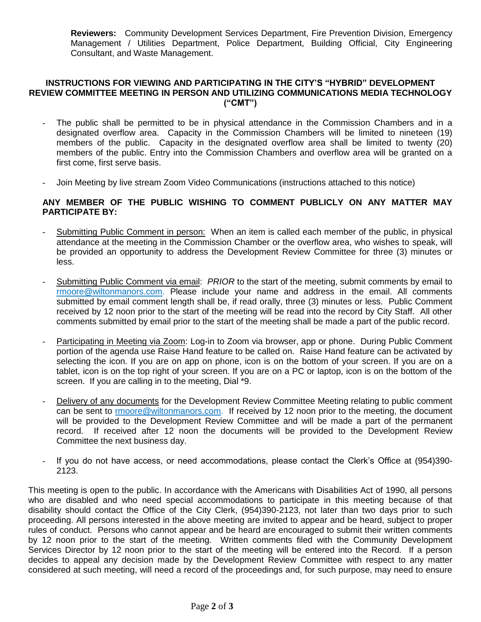**Reviewers:** Community Development Services Department, Fire Prevention Division, Emergency Management / Utilities Department, Police Department, Building Official, City Engineering Consultant, and Waste Management.

#### **INSTRUCTIONS FOR VIEWING AND PARTICIPATING IN THE CITY'S "HYBRID" DEVELOPMENT REVIEW COMMITTEE MEETING IN PERSON AND UTILIZING COMMUNICATIONS MEDIA TECHNOLOGY ("CMT")**

- The public shall be permitted to be in physical attendance in the Commission Chambers and in a designated overflow area. Capacity in the Commission Chambers will be limited to nineteen (19) members of the public. Capacity in the designated overflow area shall be limited to twenty (20) members of the public. Entry into the Commission Chambers and overflow area will be granted on a first come, first serve basis.
- Join Meeting by live stream Zoom Video Communications (instructions attached to this notice)

#### **ANY MEMBER OF THE PUBLIC WISHING TO COMMENT PUBLICLY ON ANY MATTER MAY PARTICIPATE BY:**

- Submitting Public Comment in person: When an item is called each member of the public, in physical attendance at the meeting in the Commission Chamber or the overflow area, who wishes to speak, will be provided an opportunity to address the Development Review Committee for three (3) minutes or less.
- Submitting Public Comment via email: *PRIOR* to the start of the meeting, submit comments by email to [rmoore@wiltonmanors.com.](mailto:rmoore@wiltonmanors.com) Please include your name and address in the email. All comments submitted by email comment length shall be, if read orally, three (3) minutes or less. Public Comment received by 12 noon prior to the start of the meeting will be read into the record by City Staff. All other comments submitted by email prior to the start of the meeting shall be made a part of the public record.
- Participating in Meeting via Zoom: Log-in to Zoom via browser, app or phone. During Public Comment portion of the agenda use Raise Hand feature to be called on. Raise Hand feature can be activated by selecting the icon. If you are on app on phone, icon is on the bottom of your screen. If you are on a tablet, icon is on the top right of your screen. If you are on a PC or laptop, icon is on the bottom of the screen. If you are calling in to the meeting, Dial \*9.
- Delivery of any documents for the Development Review Committee Meeting relating to public comment can be sent to rmoor[e@wiltonmanors.com.](mailto:publiccomment@wiltonmanors.com) If received by 12 noon prior to the meeting, the document will be provided to the Development Review Committee and will be made a part of the permanent record. If received after 12 noon the documents will be provided to the Development Review Committee the next business day.
- If you do not have access, or need accommodations, please contact the Clerk's Office at (954)390- 2123.

This meeting is open to the public. In accordance with the Americans with Disabilities Act of 1990, all persons who are disabled and who need special accommodations to participate in this meeting because of that disability should contact the Office of the City Clerk, (954)390-2123, not later than two days prior to such proceeding. All persons interested in the above meeting are invited to appear and be heard, subject to proper rules of conduct. Persons who cannot appear and be heard are encouraged to submit their written comments by 12 noon prior to the start of the meeting. Written comments filed with the Community Development Services Director by 12 noon prior to the start of the meeting will be entered into the Record. If a person decides to appeal any decision made by the Development Review Committee with respect to any matter considered at such meeting, will need a record of the proceedings and, for such purpose, may need to ensure